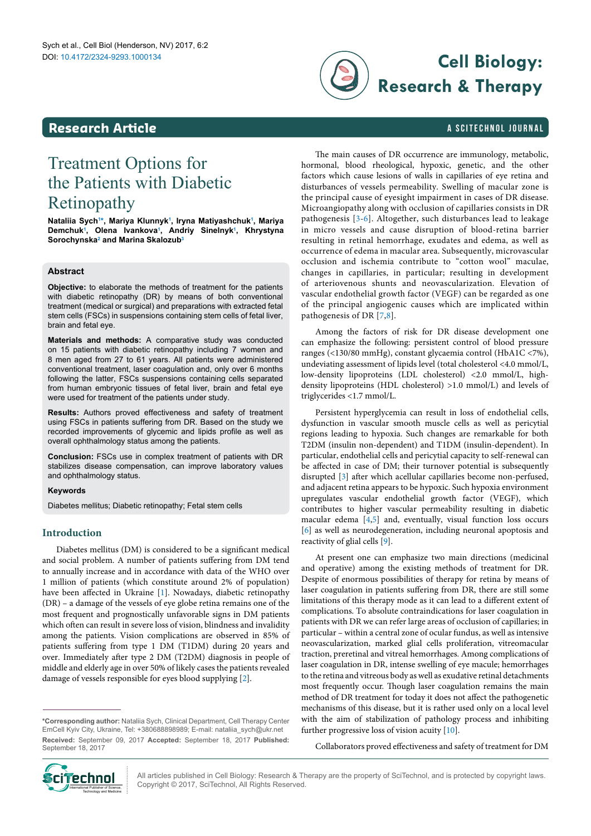### <span id="page-0-1"></span>**Research Article**

# **Cell Biology: Research & Therapy**

#### a SciTechnol journal

# Treatment Options for the Patients with Diabetic Retinopathy

**Nataliia Sych[1](#page-5-0) [\\*,](#page-0-0) Mariya Klunnyk[1](#page-5-0) , Iryna Matiyashchuk[1](#page-5-0) , Mariya Demchu[k1](#page-5-0) , Olena Ivankova[1](#page-5-0) , Andriy Sinelny[k1](#page-5-0) , Khrystyna Sorochynsk[a2](#page-5-1) and Marina Skalozub[3](#page-5-2)**

#### **Abstract**

**Objective:** to elaborate the methods of treatment for the patients with diabetic retinopathy (DR) by means of both conventional treatment (medical or surgical) and preparations with extracted fetal stem cells (FSCs) in suspensions containing stem cells of fetal liver, brain and fetal eye.

**Materials and methods:** A comparative study was conducted on 15 patients with diabetic retinopathy including 7 women and 8 men aged from 27 to 61 years. All patients were administered conventional treatment, laser coagulation and, only over 6 months following the latter, FSCs suspensions containing cells separated from human embryonic tissues of fetal liver, brain and fetal eye were used for treatment of the patients under study.

**Results:** Authors proved effectiveness and safety of treatment using FSCs in patients suffering from DR. Based on the study we recorded improvements of glycemic and lipids profile as well as overall ophthalmology status among the patients.

**Conclusion:** FSCs use in complex treatment of patients with DR stabilizes disease compensation, can improve laboratory values and ophthalmology status.

#### **Keywords**

Diabetes mellitus; Diabetic retinopathy; Fetal stem cells

#### **Introduction**

Diabetes mellitus (DM) is considered to be a significant medical and social problem. A number of patients suffering from DM tend to annually increase and in accordance with data of the WHO over 1 million of patients (which constitute around 2% of population) have been affected in Ukraine [[1\]](#page-4-0). Nowadays, diabetic retinopathy (DR) – a damage of the vessels of eye globe retina remains one of the most frequent and prognostically unfavorable signs in DM patients which often can result in severe loss of vision, blindness and invalidity among the patients. Vision complications are observed in 85% of patients suffering from type 1 DM (T1DM) during 20 years and over. Immediately after type 2 DM (T2DM) diagnosis in people of middle and elderly age in over 50% of likely cases the patients revealed damage of vessels responsible for eyes blood supplying [\[2\]](#page-4-1).

The main causes of DR occurrence are immunology, metabolic, hormonal, blood rheological, hypoxic, genetic, and the other factors which cause lesions of walls in capillaries of eye retina and disturbances of vessels permeability. Swelling of macular zone is the principal cause of eyesight impairment in cases of DR disease. Microangiopathy along with occlusion of capillaries consists in DR pathogenesis [[3](#page-4-2)[-6\]](#page-4-3). Altogether, such disturbances lead to leakage in micro vessels and cause disruption of blood-retina barrier resulting in retinal hemorrhage, exudates and edema, as well as occurrence of edema in macular area. Subsequently, microvascular occlusion and ischemia contribute to "cotton wool" maculae, changes in capillaries, in particular; resulting in development of arteriovenous shunts and neovascularization. Elevation of vascular endothelial growth factor (VEGF) can be regarded as one of the principal angiogenic causes which are implicated within pathogenesis of DR [[7](#page-4-4)[,8\]](#page-4-5).

Among the factors of risk for DR disease development one can emphasize the following: persistent control of blood pressure ranges (<130/80 mmHg), constant glycaemia control (HbA1C <7%), undeviating assessment of lipids level (total cholesterol <4.0 mmol/L, low-density lipoproteins (LDL cholesterol) <2.0 mmol/L, highdensity lipoproteins (HDL cholesterol) >1.0 mmol/L) and levels of triglycerides <1.7 mmol/L.

Persistent hyperglycemia can result in loss of endothelial cells, dysfunction in vascular smooth muscle cells as well as pericytial regions leading to hypoxia. Such changes are remarkable for both T2DM (insulin non-dependent) and T1DM (insulin-dependent). In particular, endothelial cells and pericytial capacity to self-renewal can be affected in case of DM; their turnover potential is subsequently disrupted [\[3](#page-4-2)] after which acellular capillaries become non-perfused, and adjacent retina appears to be hypoxic. Such hypoxia environment upregulates vascular endothelial growth factor (VEGF), which contributes to higher vascular permeability resulting in diabetic macular edema [[4](#page-4-6)[,5\]](#page-4-7) and, eventually, visual function loss occurs [[6](#page-4-3)] as well as neurodegeneration, including neuronal apoptosis and reactivity of glial cells [\[9\]](#page-4-8).

At present one can emphasize two main directions (medicinal and operative) among the existing methods of treatment for DR. Despite of enormous possibilities of therapy for retina by means of laser coagulation in patients suffering from DR, there are still some limitations of this therapy mode as it can lead to a different extent of complications. To absolute contraindications for laser coagulation in patients with DR we can refer large areas of occlusion of capillaries; in particular – within a central zone of ocular fundus, as well as intensive neovascularization, marked glial cells proliferation, vitreomacular traction, preretinal and vitreal hemorrhages. Among complications of laser coagulation in DR, intense swelling of eye macule; hemorrhages to the retina and vitreous body as well as exudative retinal detachments most frequently occur. Though laser coagulation remains the main method of DR treatment for today it does not affect the pathogenetic mechanisms of this disease, but it is rather used only on a local level with the aim of stabilization of pathology process and inhibiting further progressive loss of vision acuity [[10](#page-4-9)].

Collaborators proved effectiveness and safety of treatment for DM



All articles published in Cell Biology: Research & Therapy are the property of SciTechnol, and is protected by copyright laws. Copyright © 2017, SciTechnol, All Rights Reserved.

<span id="page-0-0"></span>**<sup>\*</sup>Corresponding author:** Nataliia Sych, Clinical Department, Cell Therapy Center EmCell Kyiv City, Ukraine, Tel: +380688898989; E-mail: nataliia\_sych@ukr.net **Received:** September 09, 2017 **Accepted:** September 18, 2017 **Published:** September 18, 2017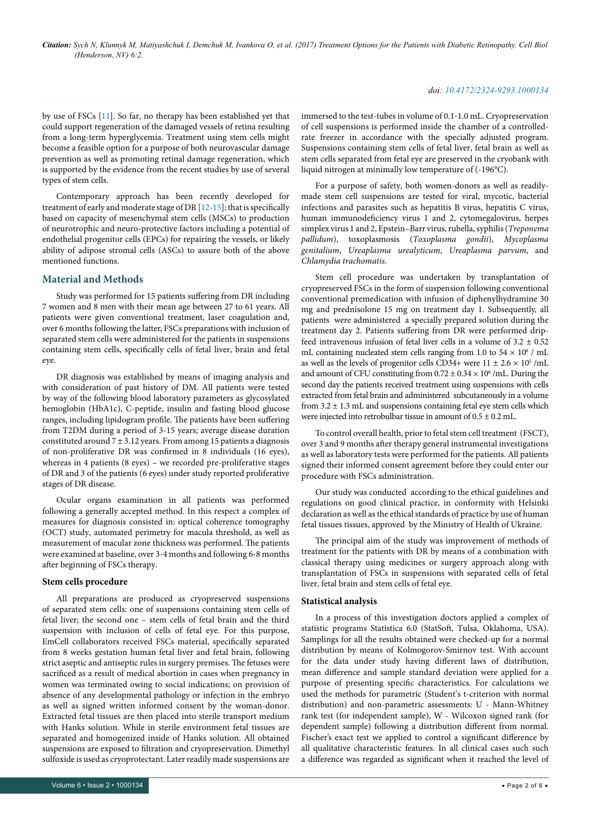*Citation: Sych N, Klunnyk M, Matiyashchuk I, Demchuk M, Ivankova O, et al. (2017) Treatment Options for the Patients with Diabetic Retinopathy. Cell Biol (Henderson, NV) 6:2.*

#### *doi: 10.4172/2324-9293.1000134*

by use of FSCs [\[11\]](#page-4-10). So far, no therapy has been established yet that could support regeneration of the damaged vessels of retina resulting from a long-term hyperglycemia. Treatment using stem cells might become a feasible option for a purpose of both neurovascular damage prevention as well as promoting retinal damage regeneration, which is supported by the evidence from the recent studies by use of several types of stem cells.

Contemporary approach has been recently developed for treatment of early and moderate stage of DR [[12](#page-4-11)[-15](#page-4-12)]; that is specifically based on capacity of mesenchymal stem cells (MSCs) to production of neurotrophic and neuro-protective factors including a potential of endothelial progenitor cells (EPCs) for repairing the vessels, or likely ability of adipose stromal cells (ASCs) to assure both of the above mentioned functions.

#### **Material and Methods**

Study was performed for 15 patients suffering from DR including 7 women and 8 men with their mean age between 27 to 61 years. All patients were given conventional treatment, laser coagulation and, over 6 months following the latter, FSCs preparations with inclusion of separated stem cells were administered for the patients in suspensions containing stem cells, specifically cells of fetal liver, brain and fetal eye.

DR diagnosis was established by means of imaging analysis and with consideration of past history of DM. All patients were tested by way of the following blood laboratory parameters as glycosylated hemoglobin (HbA1c), C-peptide, insulin and fasting blood glucose ranges, including lipidogram profile. The patients have been suffering from T2DM during a period of 3-15 years; average disease duration constituted around  $7 \pm 3.12$  years. From among 15 patients a diagnosis of non-proliferative DR was confirmed in 8 individuals (16 eyes), whereas in 4 patients (8 eyes) – we recorded pre-proliferative stages of DR and 3 of the patients (6 eyes) under study reported proliferative stages of DR disease.

Ocular organs examination in all patients was performed following a generally accepted method. In this respect a complex of measures for diagnosis consisted in: optical coherence tomography (OCT) study, automated perimetry for macula threshold, as well as measurement of macular zone thickness was performed. The patients were examined at baseline, over 3-4 months and following 6-8 months after beginning of FSCs therapy.

#### **Stem cells procedure**

All preparations are produced as cryopreserved suspensions of separated stem cells: one of suspensions containing stem cells of fetal liver; the second one – stem cells of fetal brain and the third suspension with inclusion of cells of fetal eye. For this purpose, EmCell collaborators received FSCs material, specifically separated from 8 weeks gestation human fetal liver and fetal brain, following strict aseptic and antiseptic rules in surgery premises. The fetuses were sacrificed as a result of medical abortion in cases when pregnancy in women was terminated owing to social indications; on provision of absence of any developmental pathology or infection in the embryo as well as signed written informed consent by the woman-donor. Extracted fetal tissues are then placed into sterile transport medium with Hanks solution. While in sterile environment fetal tissues are separated and homogenized inside of Hanks solution. All obtained suspensions are exposed to filtration and cryopreservation. Dimethyl sulfoxide is used as cryoprotectant. Later readily made suspensions are

immersed to the test-tubes in volume of 0.1-1.0 mL. Cryopreservation of cell suspensions is performed inside the chamber of a controlledrate freezer in accordance with the specially adjusted program. Suspensions containing stem cells of fetal liver, fetal brain as well as stem cells separated from fetal eye are preserved in the cryobank with liquid nitrogen at minimally low temperature of (-196°С).

For a purpose of safety, both women-donors as well as readilymade stem cell suspensions are tested for viral, mycotic, bacterial infections and parasites such as hepatitis B virus, hepatitis C virus, human immunodeficiency virus 1 and 2, cytomegalovirus, herpes simplex virus 1 and 2, Epstein–Barr virus, rubella, syphilis (*Treponema pallidum*), toxoplasmosis (*Toxoplasma gondii*), *Mycoplasma genitalium*, *Ureaplasma urealyticum*, *Ureaplasma parvum*, and *Chlamydia trachomatis*.

Stem cell procedure was undertaken by transplantation of cryopreserved FSCs in the form of suspension following conventional conventional premedication with infusion of diphenylhydramine 30 mg and prednisolone 15 mg on treatment day 1. Subsequently, all patients were administered a specially prepared solution during the treatment day 2. Patients suffering from DR were performed dripfeed intravenous infusion of fetal liver cells in a volume of  $3.2 \pm 0.52$ mL containing nucleated stem cells ranging from 1.0 to  $54 \times 10^6$  / mL as well as the levels of progenitor cells CD34+ were  $11 \pm 2.6 \times 10^5$  /mL and amount of CFU constituting from  $0.72 \pm 0.34 \times 10^6$  /mL. During the second day the patients received treatment using suspensions with cells extracted from fetal brain and administered subcutaneously in a volume from  $3.2 \pm 1.3$  mL and suspensions containing fetal eye stem cells which were injected into retrobulbar tissue in amount of  $0.5 \pm 0.2$  mL.

To control overall health, prior to fetal stem cell treatment (FSCT), over 3 and 9 months after therapy general instrumental investigations as well as laboratory tests were performed for the patients. All patients signed their informed consent agreement before they could enter our procedure with FSCs administration.

Our study was conducted according to the ethical guidelines and regulations on good clinical practice, in conformity with Helsinki declaration as well as the ethical standards of practice by use of human fetal tissues tissues, approved by the Ministry of Health of Ukraine.

The principal aim of the study was improvement of methods of treatment for the patients with DR by means of a combination with classical therapy using medicines or surgery approach along with transplantation of FSCs in suspensions with separated cells of fetal liver, fetal brain and stem cells of fetal eye.

#### **Statistical analysis**

In a process of this investigation doctors applied a complex of statistic programs Statistica 6.0 (StatSoft, Tulsa, Oklahoma, USA). Samplings for all the results obtained were checked-up for a normal distribution by means of Kolmogorov-Smirnov test. With account for the data under study having different laws of distribution, mean difference and sample standard deviation were applied for a purpose of presenting specific characteristics. For calculations we used the methods for parametric (Student's t-criterion with normal distribution) and non-parametric assessments: U - Mann-Whitney rank test (for independent sample), W - Wilcoxon signed rank (for dependent sample) following a distribution different from normal. Fischer's exact test we applied to control a significant difference by all qualitative characteristic features. In all clinical cases such such a difference was regarded as significant when it reached the level of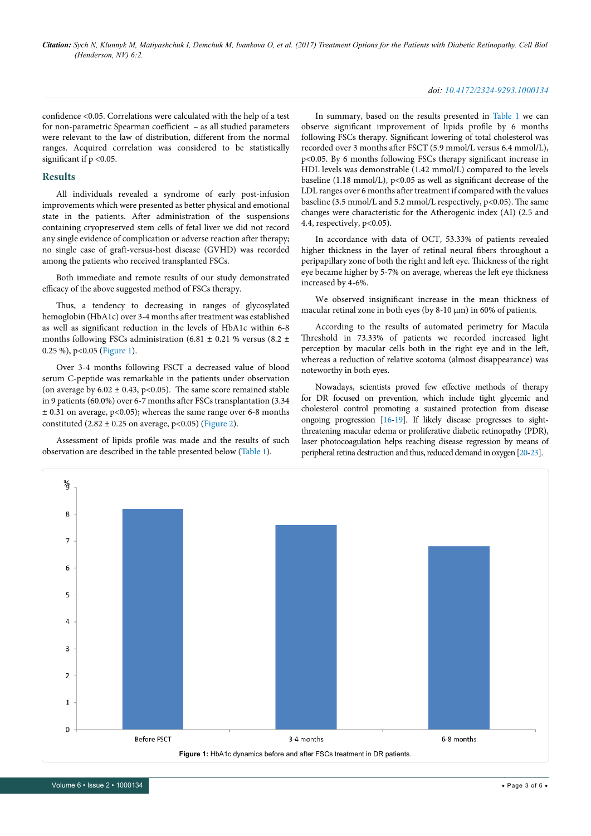#### *doi: 10.4172/2324-9293.1000134*

confidence <0.05. Correlations were calculated with the help of a test for non-parametric Spearman coefficient – as all studied parameters were relevant to the law of distribution, different from the normal ranges. Acquired correlation was considered to be statistically significant if  $p < 0.05$ .

#### **Results**

All individuals revealed a syndrome of early post-infusion improvements which were presented as better physical and emotional state in the patients. After administration of the suspensions containing cryopreserved stem cells of fetal liver we did not record any single evidence of complication or adverse reaction after therapy; no single case of graft-versus-host disease (GVHD) was recorded among the patients who received transplanted FSCs.

Both immediate and remote results of our study demonstrated efficacy of the above suggested method of FSCs therapy.

Thus, a tendency to decreasing in ranges of glycosylated hemoglobin (HbA1c) over 3-4 months after treatment was established as well as significant reduction in the levels of HbA1c within 6-8 months following FSCs administration (6.81  $\pm$  0.21 % versus (8.2  $\pm$ 0.25 %), р<0.05 [\(Figure 1](#page-2-0)).

Over 3-4 months following FSCT a decreased value of blood serum C-peptide was remarkable in the patients under observation (on average by  $6.02 \pm 0.43$ , p<0.05). The same score remained stable in 9 patients (60.0%) over 6-7 months after FSCs transplantation (3.34  $\pm$  0.31 on average, p<0.05); whereas the same range over 6-8 months constituted  $(2.82 \pm 0.25 \text{ on average}, p<0.05)$  ([Figure 2](#page-2-0)).

Assessment of lipids profile was made and the results of such observation are described in the table presented below [\(Table 1\)](#page-3-0).

In summary, based on the results presented in [Table 1](#page-3-0) we can observe significant improvement of lipids profile by 6 months following FSCs therapy. Significant lowering of total cholesterol was recorded over 3 months after FSCT (5.9 mmol/L versus 6.4 mmol/L), р<0.05. By 6 months following FSCs therapy significant increase in HDL levels was demonstrable (1.42 mmol/L) compared to the levels baseline (1.18 mmol/L),  $p<0.05$  as well as significant decrease of the LDL ranges over 6 months after treatment if compared with the values baseline (3.5 mmol/L and 5.2 mmol/L respectively, p<0.05). The same changes were characteristic for the Atherogenic index (AI) (2.5 and 4.4, respectively, p<0.05).

In accordance with data of OCT, 53.33% of patients revealed higher thickness in the layer of retinal neural fibers throughout a peripapillary zone of both the right and left eye. Thickness of the right eye became higher by 5-7% on average, whereas the left eye thickness increased by 4-6%.

We observed insignificant increase in the mean thickness of macular retinal zone in both eyes (by 8-10  $\mu$ m) in 60% of patients.

According to the results of automated perimetry for Macula Threshold in 73.33% of patients we recorded increased light perception by macular cells both in the right eye and in the left, whereas a reduction of relative scotoma (almost disappearance) was noteworthy in both eyes.

Nowadays, scientists proved few effective methods of therapy for DR focused on prevention, which include tight glycemic and cholesterol control promoting a sustained protection from disease ongoing progression [\[16-](#page-4-13)[19\]](#page-5-3). If likely disease progresses to sightthreatening macular edema or proliferative diabetic retinopathy (PDR), laser photocoagulation helps reaching disease regression by means of peripheral retina destruction and thus, reduced demand in oxygen [\[20](#page-5-4)[-23](#page-5-5)].

<span id="page-2-0"></span>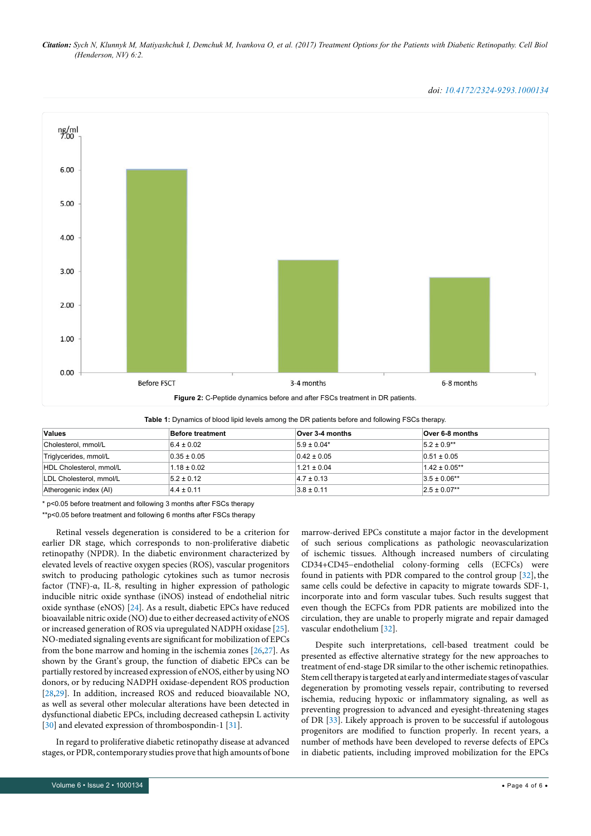*Citation: Sych N, Klunnyk M, Matiyashchuk I, Demchuk M, Ivankova O, et al. (2017) Treatment Options for the Patients with Diabetic Retinopathy. Cell Biol (Henderson, NV) 6:2.*

 $\frac{ng}{n}$ 6.00 5.00 4.00 3.00  $2.00$ 1.00  $0.00$ Before ESCT  $3-4$  months 6-8 months **Figure 2:** C-Peptide dynamics before and after FSCs treatment in DR patients.

<span id="page-3-0"></span>

| <b>Values</b>           | <b>Before treatment</b> | Over 3-4 months | Over 6-8 months   |
|-------------------------|-------------------------|-----------------|-------------------|
| Cholesterol, mmol/L     | $6.4 \pm 0.02$          | $5.9 \pm 0.04*$ | $5.2 \pm 0.9**$   |
| Triglycerides, mmol/L   | $0.35 \pm 0.05$         | $0.42 \pm 0.05$ | $0.51 \pm 0.05$   |
| HDL Cholesterol, mmol/L | $1.18 \pm 0.02$         | $1.21 \pm 0.04$ | $1.42 \pm 0.05**$ |
| LDL Cholesterol, mmol/L | $5.2 \pm 0.12$          | $4.7 \pm 0.13$  | $3.5 \pm 0.06**$  |
| Atherogenic index (AI)  | $4.4 \pm 0.11$          | $3.8 \pm 0.11$  | $2.5 \pm 0.07**$  |

\* р<0.05 before treatment and following 3 months after FSCs therapy

\*\*р<0.05 before treatment and following 6 months after FSCs therapy

Retinal vessels degeneration is considered to be a criterion for earlier DR stage, which corresponds to non-proliferative diabetic retinopathy (NPDR). In the diabetic environment characterized by elevated levels of reactive oxygen species (ROS), vascular progenitors switch to producing pathologic cytokines such as tumor necrosis factor (TNF)-α, IL-8, resulting in higher expression of pathologic inducible nitric oxide synthase (iNOS) instead of endothelial nitric oxide synthase (eNOS) [\[24\]](#page-5-6). As a result, diabetic EPCs have reduced bioavailable nitric oxide (NO) due to either decreased activity of eNOS or increased generation of ROS via upregulated NADPH oxidase [[25](#page-5-7)]. NO-mediated signaling events are significant for mobilization of EPCs from the bone marrow and homing in the ischemia zones [[26](#page-5-8)[,27\]](#page-5-9). As shown by the Grant's group, the function of diabetic EPCs can be partially restored by increased expression of eNOS, either by using NO donors, or by reducing NADPH oxidase-dependent ROS production [\[28](#page-5-10)[,29\]](#page-5-11). In addition, increased ROS and reduced bioavailable NO, as well as several other molecular alterations have been detected in dysfunctional diabetic EPCs, including decreased cathepsin L activity [\[30](#page-5-12)] and elevated expression of thrombospondin-1 [\[31](#page-5-13)].

In regard to proliferative diabetic retinopathy disease at advanced stages, or PDR, contemporary studies prove that high amounts of bone

even though the ECFCs from PDR patients are mobilized into the circulation, they are unable to properly migrate and repair damaged vascular endothelium [[32](#page-5-14)]. Despite such interpretations, cell-based treatment could be

presented as effective alternative strategy for the new approaches to treatment of end-stage DR similar to the other ischemic retinopathies. Stem cell therapy is targeted at early and intermediate stages of vascular degeneration by promoting vessels repair, contributing to reversed ischemia, reducing hypoxic or inflammatory signaling, as well as preventing progression to advanced and eyesight-threatening stages of DR [[33](#page-5-15)]. Likely approach is proven to be successful if autologous progenitors are modified to function properly. In recent years, a number of methods have been developed to reverse defects of EPCs in diabetic patients, including improved mobilization for the EPCs

marrow-derived EPCs constitute a major factor in the development of such serious complications as pathologic neovascularization of ischemic tissues. Although increased numbers of circulating CD34+CD45−endothelial colony-forming cells (ECFCs) were found in patients with PDR compared to the control group [\[32\]](#page-5-14), the same cells could be defective in capacity to migrate towards SDF-1, incorporate into and form vascular tubes. Such results suggest that

*doi: 10.4172/2324-9293.1000134*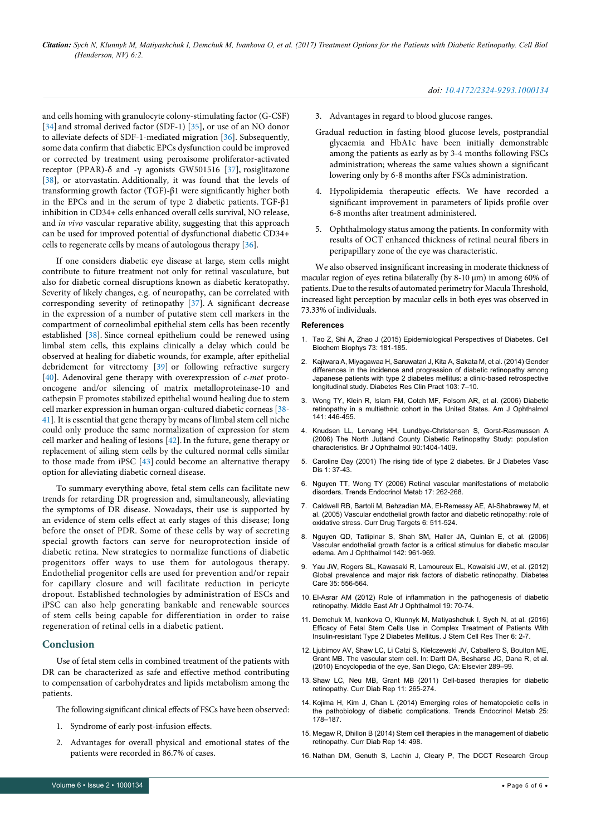and cells homing with granulocyte colony-stimulating factor (G-CSF) [[34](#page-5-16)] and stromal derived factor (SDF-1) [\[35\]](#page-5-17), or use of an NO donor to alleviate defects of SDF-1-mediated migration [\[36\]](#page-5-18). Subsequently, some data confirm that diabetic EPCs dysfunction could be improved or corrected by treatment using peroxisome proliferator-activated receptor (PPAR)-δ and -γ agonists [GW501516](https://www.ncbi.nlm.nih.gov/nuccore/GW501516) [\[37\]](#page-5-19), rosiglitazone [[38](#page-5-20)], or atorvastatin. Additionally, it was found that the levels of transforming growth factor (TGF)-β1 were significantly higher both in the EPCs and in the serum of type 2 diabetic patients. TGF- $\beta$ 1 inhibition in CD34+ cells enhanced overall cells survival, NO release, and *in vivo* vascular reparative ability, suggesting that this approach can be used for improved potential of dysfunctional diabetic CD34+ cells to regenerate cells by means of autologous therapy [[36](#page-5-18)].

If one considers diabetic eye disease at large, stem cells might contribute to future treatment not only for retinal vasculature, but also for diabetic corneal disruptions known as diabetic keratopathy. Severity of likely changes, e.g. of neuropathy, can be correlated with corresponding severity of retinopathy [[37](#page-5-19)]. A significant decrease in the expression of a number of putative stem cell markers in the compartment of corneolimbal epithelial stem cells has been recently established [\[38\]](#page-5-20). Since corneal epithelium could be renewed using limbal stem cells, this explains clinically a delay which could be observed at healing for diabetic wounds, for example, after epithelial debridement for vitrectomy [[39](#page-5-21)] or following refractive surgery [[40](#page-5-22)]. Adenoviral gene therapy with overexpression of *c-met* protooncogene and/or silencing of matrix metalloproteinase-10 and cathepsin F promotes stabilized epithelial wound healing due to stem cell marker expression in human organ-cultured diabetic corneas [[38](#page-5-20)- [41](#page-5-23)]. It is essential that gene therapy by means of limbal stem cell niche could only produce the same normalization of expression for stem cell marker and healing of lesions [[42](#page-5-24)].In the future, gene therapy or replacement of ailing stem cells by the cultured normal cells similar to those made from iPSC [\[43\]](#page-5-25) could become an alternative therapy option for alleviating diabetic corneal disease.

To summary everything above, fetal stem cells can facilitate new trends for retarding DR progression and, simultaneously, alleviating the symptoms of DR disease. Nowadays, their use is supported by an evidence of stem cells effect at early stages of this disease; long before the onset of PDR. Some of these cells by way of secreting special growth factors can serve for neuroprotection inside of diabetic retina. New strategies to normalize functions of diabetic progenitors offer ways to use them for autologous therapy. Endothelial progenitor cells are used for prevention and/or repair for capillary closure and will facilitate reduction in pericyte dropout. Established technologies by administration of ESCs and iPSC can also help generating bankable and renewable sources of stem cells being capable for differentiation in order to raise regeneration of retinal cells in a diabetic patient.

#### **Conclusion**

Use of fetal stem cells in combined treatment of the patients with DR can be characterized as safe and effective method contributing to compensation of carbohydrates and lipids metabolism among the patients.

The following significant clinical effects of FSCs have been observed:

- 1. Syndrome of early post-infusion effects.
- 2. Advantages for overall physical and emotional states of the patients were recorded in 86.7% of cases.

#### *doi: 10.4172/2324-9293.1000134*

- 3. Advantages in regard to blood glucose ranges.
- Gradual reduction in fasting blood glucose levels, postprandial glycaemia and HbA1c have been initially demonstrable among the patients as early as by 3-4 months following FSCs administration; whereas the same values shown a significant lowering only by 6-8 months after FSCs administration.
- 4. Hypolipidemia therapeutic effects. We have recorded a significant improvement in parameters of lipids profile over 6-8 months after treatment administered.
- 5. Ophthalmology status among the patients. In conformity with results of OCT enhanced thickness of retinal neural fibers in peripapillary zone of the eye was characteristic.

We also observed insignificant increasing in moderate thickness of macular region of eyes retina bilaterally (by 8-10  $\mu$ m) in among 60% of patients. Due to the results of automated perimetry for Macula Threshold, increased light perception by macular cells in both eyes was observed in 73.33% of individuals.

#### **References**

- <span id="page-4-0"></span>1. [Tao Z, Shi A, Zhao J \(2015\) Epidemiological Perspectives of Diabetes. Cell](https://www.researchgate.net/publication/272842035_Epidemiological_Perspectives_of_Diabetes)  [Biochem Biophys 73: 181-185](https://www.researchgate.net/publication/272842035_Epidemiological_Perspectives_of_Diabetes).
- <span id="page-4-1"></span>2. [Kajiwara A, Miyagawaa H, Saruwatari J, Kita A, Sakata M, et al. \(2014\) Gender](http://www.diabetesresearchclinicalpractice.com/article/S0168-8227(13)00477-4/abstract)  [differences in the incidence and progression of diabetic retinopathy among](http://www.diabetesresearchclinicalpractice.com/article/S0168-8227(13)00477-4/abstract)  [Japanese patients with type 2 diabetes mellitus: a clinic-based retrospective](http://www.diabetesresearchclinicalpractice.com/article/S0168-8227(13)00477-4/abstract)  [longitudinal study. Diabetes Res Clin Pract 103: 7–10.](http://www.diabetesresearchclinicalpractice.com/article/S0168-8227(13)00477-4/abstract)
- <span id="page-4-2"></span>3. [Wong TY, Klein R, Islam FM, Cotch MF, Folsom AR, et al. \(2006\) Diabetic](http://www.ajo.com/article/S0002-9394(05)00986-4/abstract)  [retinopathy in a multiethnic cohort in the United States. Am J Ophthalmol](http://www.ajo.com/article/S0002-9394(05)00986-4/abstract)  [141: 446-455.](http://www.ajo.com/article/S0002-9394(05)00986-4/abstract)
- <span id="page-4-6"></span>4. [Knudsen LL, Lervang HH, Lundbye-Christensen S, Gorst-Rasmussen A](http://bjo.bmj.com/content/90/11/1404)  [\(2006\) The North Jutland County Diabetic Retinopathy Study: population](http://bjo.bmj.com/content/90/11/1404)  [characteristics. Br J Ophthalmol 90:1404-1409.](http://bjo.bmj.com/content/90/11/1404)
- <span id="page-4-7"></span>5. [Caroline Day \(2001\) The rising tide of type 2 diabetes. Br J Diabetes Vasc](https://secure.sherbornegibbs.com/bjdvd/pdf/976.pdf)  [Dis 1: 37-43.](https://secure.sherbornegibbs.com/bjdvd/pdf/976.pdf)
- <span id="page-4-3"></span>6. [Nguyen TT, Wong TY \(2006\) Retinal vascular manifestations of metabolic](http://www.cell.com/trends/endocrinology-metabolism/abstract/S1043-2760(06)00131-7)  [disorders. Trends Endocrinol Metab 17: 262-268.](http://www.cell.com/trends/endocrinology-metabolism/abstract/S1043-2760(06)00131-7)
- <span id="page-4-4"></span>7. [Caldwell RB, Bartoli M, Behzadian MA, El-Remessy AE, Al-Shabrawey M, et](https://augusta.pure.elsevier.com/en/publications/vascular-endothelial-growth-factor-and-diabetic-retinopathy-role-)  [al. \(2005\) Vascular endothelial growth factor and diabetic retinopathy: role of](https://augusta.pure.elsevier.com/en/publications/vascular-endothelial-growth-factor-and-diabetic-retinopathy-role-)  [oxidative stress. Curr Drug Targets 6: 511-524.](https://augusta.pure.elsevier.com/en/publications/vascular-endothelial-growth-factor-and-diabetic-retinopathy-role-)
- <span id="page-4-5"></span>8. [Nguyen QD, Tatlipinar S, Shah SM, Haller JA, Quinlan E, et al. \(2006\)](https://jhu.pure.elsevier.com/en/publications/vascular-endothelial-growth-factor-is-a-critical-stimulus-for-dia-6)  [Vascular endothelial growth factor is a critical stimulus for diabetic macular](https://jhu.pure.elsevier.com/en/publications/vascular-endothelial-growth-factor-is-a-critical-stimulus-for-dia-6)  [edema. Am J Ophthalmol 142: 961-969.](https://jhu.pure.elsevier.com/en/publications/vascular-endothelial-growth-factor-is-a-critical-stimulus-for-dia-6)
- <span id="page-4-8"></span>9. [Yau JW, Rogers SL, Kawasaki R, Lamoureux EL, Kowalski JW, et al. \(2012\)](http://findresearcher.sdu.dk/portal/en/publications/global-prevalence-and-major-risk-factors-of-diabetic-retinopathy(9cb9cf90-c047-45aa-8f0c-2800023e98c3)/export.html)  [Global prevalence and major risk factors of diabetic retinopathy. Diabetes](http://findresearcher.sdu.dk/portal/en/publications/global-prevalence-and-major-risk-factors-of-diabetic-retinopathy(9cb9cf90-c047-45aa-8f0c-2800023e98c3)/export.html)  [Care 35: 556-564.](http://findresearcher.sdu.dk/portal/en/publications/global-prevalence-and-major-risk-factors-of-diabetic-retinopathy(9cb9cf90-c047-45aa-8f0c-2800023e98c3)/export.html)
- <span id="page-4-9"></span>10. [El-Asrar AM \(2012\) Role of inflammation in the pathogenesis of diabetic](https://link.springer.com/chapter/10.1007%2F978-1-59745-563-3_13)  [retinopathy. Middle East Afr J Ophthalmol 19: 70-74.](https://link.springer.com/chapter/10.1007%2F978-1-59745-563-3_13)
- <span id="page-4-10"></span>11. [Demchuk M, Ivankova O, Klunnyk M, Matiyashchuk I, Sych N, at al. \(2016\)](https://www.omicsonline.org/open-access/efficacy-of-fetal-stem-cells-use-in-complex-treatment-of-patients-withinsulinresistant-type-2-diabetes-mellitus-2157-7633-1000342.php?aid=75107&view=mobile)  [Efficacy of Fetal Stem Cells Use in Complex Treatment of Patients With](https://www.omicsonline.org/open-access/efficacy-of-fetal-stem-cells-use-in-complex-treatment-of-patients-withinsulinresistant-type-2-diabetes-mellitus-2157-7633-1000342.php?aid=75107&view=mobile)  [Insulin-resistant Type 2 Diabetes Mellitus. J Stem Cell Res Ther 6: 2-7.](https://www.omicsonline.org/open-access/efficacy-of-fetal-stem-cells-use-in-complex-treatment-of-patients-withinsulinresistant-type-2-diabetes-mellitus-2157-7633-1000342.php?aid=75107&view=mobile)
- <span id="page-4-11"></span>12. [Ljubimov AV, Shaw LC, Li Calzi S, Kielczewski JV, Caballero S, Boulton ME,](https://www.elsevier.com/books/encyclopedia-of-the-eye/besharse/978-0-12-374198-1)  [Grant MB. The vascular stem cell. In: Dartt DA, Besharse JC, Dana R, et al.](https://www.elsevier.com/books/encyclopedia-of-the-eye/besharse/978-0-12-374198-1)  [\(2010\) Encyclopedia of the eye, San Diego, CA: Elsevier 289–99.](https://www.elsevier.com/books/encyclopedia-of-the-eye/besharse/978-0-12-374198-1)
- 13. [Shaw LC, Neu MB, Grant MB \(2011\) Cell-based therapies for diabetic](https://www.hindawi.com/journals/jdr/2012/872504/)  [retinopathy. Curr Diab Rep 11: 265-274.](https://www.hindawi.com/journals/jdr/2012/872504/)
- 14. [Kojima H, Kim J, Chan L \(2014\) Emerging roles of hematopoietic cells in](https://www.pubfacts.com/fulltext/24507996/Emerging-roles-of-hematopoietic-cells-in-the-pathobiology-of-diabetic-complications)  [the pathobiology of diabetic complications. Trends Endocrinol Metab 25:](https://www.pubfacts.com/fulltext/24507996/Emerging-roles-of-hematopoietic-cells-in-the-pathobiology-of-diabetic-complications)  [178–187.](https://www.pubfacts.com/fulltext/24507996/Emerging-roles-of-hematopoietic-cells-in-the-pathobiology-of-diabetic-complications)
- <span id="page-4-12"></span>15. [Megaw R, Dhillon B \(2014\) Stem cell therapies in the management of diabetic](https://link.springer.com/article/10.1007%2Fs11892-014-0498-9)  [retinopathy. Curr Diab Rep 14: 498.](https://link.springer.com/article/10.1007%2Fs11892-014-0498-9)
- <span id="page-4-13"></span>16. [Nathan DM, Genuth S, Lachin J, Cleary P, The DCCT Research Group](https://www.researchgate.net/publication/270573176_The_Effect_Of_Intensive_Treatment_Of_Diabetes_On_The_Development_And_Progression_Of_Long-Term_Complications_In_Insulin-Dependent_Diabetes_Mellitus)